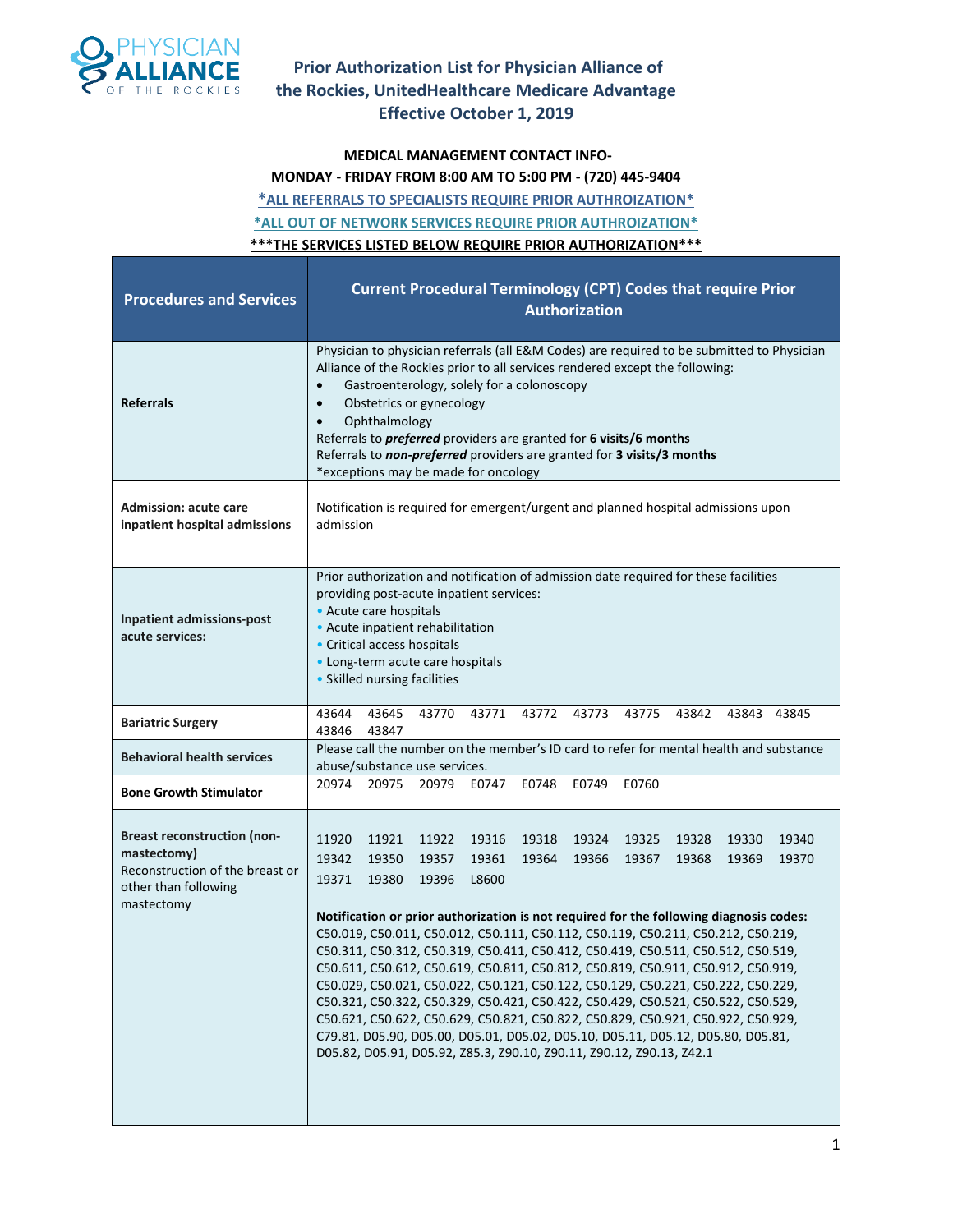

#### **MEDICAL MANAGEMENT CONTACT INFO-**

**MONDAY - FRIDAY FROM 8:00 AM TO 5:00 PM - (720) 445-9404**

**\*ALL REFERRALS TO SPECIALISTS REQUIRE PRIOR AUTHROIZATION\* \*ALL OUT OF NETWORK SERVICES REQUIRE PRIOR AUTHROIZATION\***

**\*\*\*THE SERVICES LISTED BELOW REQUIRE PRIOR AUTHORIZATION\*\*\***

| <b>Procedures and Services</b>                                                                                             | <b>Current Procedural Terminology (CPT) Codes that require Prior</b><br><b>Authorization</b>                                                                                                                                                                                                                                                                                                                                                                                                                                                                                                                                                                                                                                                                                                                                                                                                                                                                                                      |  |  |  |  |  |  |  |  |  |  |  |  |
|----------------------------------------------------------------------------------------------------------------------------|---------------------------------------------------------------------------------------------------------------------------------------------------------------------------------------------------------------------------------------------------------------------------------------------------------------------------------------------------------------------------------------------------------------------------------------------------------------------------------------------------------------------------------------------------------------------------------------------------------------------------------------------------------------------------------------------------------------------------------------------------------------------------------------------------------------------------------------------------------------------------------------------------------------------------------------------------------------------------------------------------|--|--|--|--|--|--|--|--|--|--|--|--|
| <b>Referrals</b>                                                                                                           | Physician to physician referrals (all E&M Codes) are required to be submitted to Physician<br>Alliance of the Rockies prior to all services rendered except the following:<br>Gastroenterology, solely for a colonoscopy<br>$\bullet$<br>Obstetrics or gynecology<br>$\bullet$<br>Ophthalmology<br>$\bullet$<br>Referrals to <i>preferred</i> providers are granted for 6 visits/6 months<br>Referrals to non-preferred providers are granted for 3 visits/3 months<br>*exceptions may be made for oncology                                                                                                                                                                                                                                                                                                                                                                                                                                                                                       |  |  |  |  |  |  |  |  |  |  |  |  |
| <b>Admission: acute care</b><br>inpatient hospital admissions                                                              | Notification is required for emergent/urgent and planned hospital admissions upon<br>admission                                                                                                                                                                                                                                                                                                                                                                                                                                                                                                                                                                                                                                                                                                                                                                                                                                                                                                    |  |  |  |  |  |  |  |  |  |  |  |  |
| <b>Inpatient admissions-post</b><br>acute services:                                                                        | Prior authorization and notification of admission date required for these facilities<br>providing post-acute inpatient services:<br>• Acute care hospitals<br>• Acute inpatient rehabilitation<br>• Critical access hospitals<br>• Long-term acute care hospitals<br>• Skilled nursing facilities                                                                                                                                                                                                                                                                                                                                                                                                                                                                                                                                                                                                                                                                                                 |  |  |  |  |  |  |  |  |  |  |  |  |
| <b>Bariatric Surgery</b>                                                                                                   | 43644<br>43645<br>43770<br>43771<br>43772<br>43773<br>43775<br>43842<br>43843 43845<br>43846<br>43847                                                                                                                                                                                                                                                                                                                                                                                                                                                                                                                                                                                                                                                                                                                                                                                                                                                                                             |  |  |  |  |  |  |  |  |  |  |  |  |
| <b>Behavioral health services</b>                                                                                          | Please call the number on the member's ID card to refer for mental health and substance<br>abuse/substance use services.                                                                                                                                                                                                                                                                                                                                                                                                                                                                                                                                                                                                                                                                                                                                                                                                                                                                          |  |  |  |  |  |  |  |  |  |  |  |  |
| <b>Bone Growth Stimulator</b>                                                                                              | 20974<br>20975<br>20979<br>E0747<br>E0748 E0749<br>E0760                                                                                                                                                                                                                                                                                                                                                                                                                                                                                                                                                                                                                                                                                                                                                                                                                                                                                                                                          |  |  |  |  |  |  |  |  |  |  |  |  |
| <b>Breast reconstruction (non-</b><br>mastectomy)<br>Reconstruction of the breast or<br>other than following<br>mastectomy | 11920<br>11921<br>11922<br>19316<br>19324<br>19325<br>19340<br>19318<br>19328<br>19330<br>19342<br>19361<br>19364<br>19367<br>19370<br>19350<br>19357<br>19366<br>19368<br>19369<br>19371<br>19380<br>L8600<br>19396<br>Notification or prior authorization is not required for the following diagnosis codes:<br>C50.019, C50.011, C50.012, C50.111, C50.112, C50.119, C50.211, C50.212, C50.219,<br>C50.311, C50.312, C50.319, C50.411, C50.412, C50.419, C50.511, C50.512, C50.519,<br>C50.611, C50.612, C50.619, C50.811, C50.812, C50.819, C50.911, C50.912, C50.919,<br>C50.029, C50.021, C50.022, C50.121, C50.122, C50.129, C50.221, C50.222, C50.229,<br>C50.321, C50.322, C50.329, C50.421, C50.422, C50.429, C50.521, C50.522, C50.529,<br>C50.621, C50.622, C50.629, C50.821, C50.822, C50.829, C50.921, C50.922, C50.929,<br>C79.81, D05.90, D05.00, D05.01, D05.02, D05.10, D05.11, D05.12, D05.80, D05.81,<br>D05.82, D05.91, D05.92, Z85.3, Z90.10, Z90.11, Z90.12, Z90.13, Z42.1 |  |  |  |  |  |  |  |  |  |  |  |  |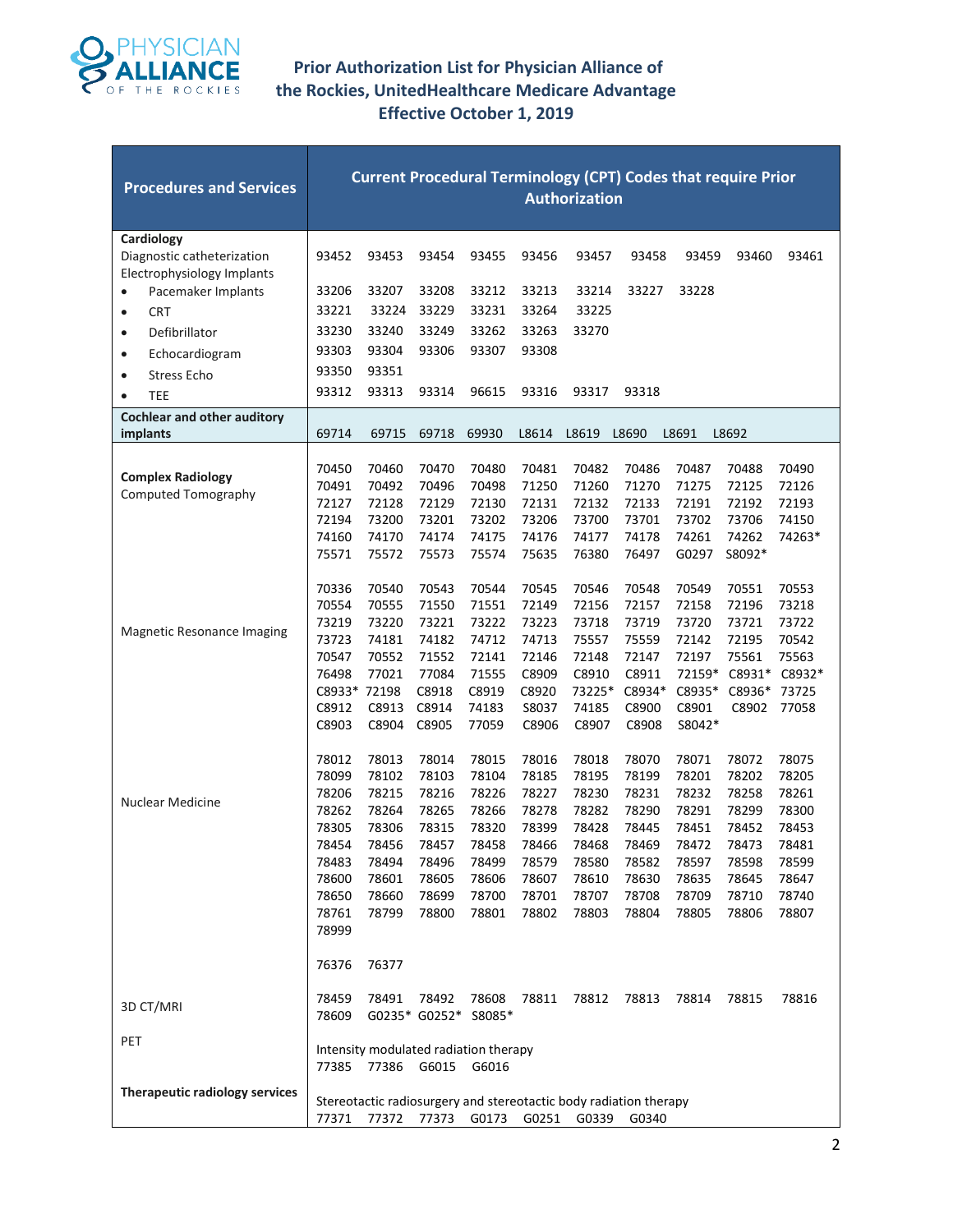

| <b>Procedures and Services</b>                                         | <b>Current Procedural Terminology (CPT) Codes that require Prior</b><br><b>Authorization</b> |                   |                                       |                |                |                                                                   |                |                |                 |                |  |  |
|------------------------------------------------------------------------|----------------------------------------------------------------------------------------------|-------------------|---------------------------------------|----------------|----------------|-------------------------------------------------------------------|----------------|----------------|-----------------|----------------|--|--|
| Cardiology<br>Diagnostic catheterization<br>Electrophysiology Implants | 93452                                                                                        | 93453             | 93454                                 | 93455          | 93456          | 93457                                                             | 93458          | 93459          | 93460           | 93461          |  |  |
| Pacemaker Implants<br>$\bullet$                                        | 33206                                                                                        | 33207             | 33208                                 | 33212          | 33213          | 33214                                                             | 33227          | 33228          |                 |                |  |  |
| <b>CRT</b><br>$\bullet$                                                | 33221                                                                                        | 33224             | 33229                                 | 33231          | 33264          | 33225                                                             |                |                |                 |                |  |  |
| Defibrillator<br>$\bullet$                                             | 33230                                                                                        | 33240             | 33249                                 | 33262          | 33263          | 33270                                                             |                |                |                 |                |  |  |
| Echocardiogram<br>$\bullet$                                            | 93303                                                                                        | 93304             | 93306                                 | 93307          | 93308          |                                                                   |                |                |                 |                |  |  |
| Stress Echo<br>$\bullet$                                               | 93350                                                                                        | 93351             |                                       |                |                |                                                                   |                |                |                 |                |  |  |
| <b>TEE</b><br>$\bullet$                                                | 93312                                                                                        | 93313             | 93314                                 | 96615          | 93316          | 93317                                                             | 93318          |                |                 |                |  |  |
| <b>Cochlear and other auditory</b>                                     |                                                                                              |                   |                                       |                |                |                                                                   |                |                |                 |                |  |  |
| implants                                                               | 69714                                                                                        | 69715             | 69718                                 | 69930          | L8614          | L8619                                                             | L8690          | L8691          | L8692           |                |  |  |
|                                                                        | 70450                                                                                        | 70460             | 70470                                 | 70480          | 70481          | 70482                                                             | 70486          | 70487          | 70488           | 70490          |  |  |
| <b>Complex Radiology</b><br><b>Computed Tomography</b>                 | 70491                                                                                        | 70492             | 70496                                 | 70498          | 71250          | 71260                                                             | 71270          | 71275          | 72125           | 72126          |  |  |
|                                                                        | 72127                                                                                        | 72128             | 72129                                 | 72130          | 72131          | 72132                                                             | 72133          | 72191          | 72192           | 72193          |  |  |
|                                                                        | 72194                                                                                        | 73200             | 73201                                 | 73202          | 73206          | 73700                                                             | 73701          | 73702          | 73706           | 74150          |  |  |
|                                                                        | 74160<br>75571                                                                               | 74170<br>75572    | 74174<br>75573                        | 74175<br>75574 | 74176<br>75635 | 74177<br>76380                                                    | 74178<br>76497 | 74261<br>G0297 | 74262<br>S8092* | 74263*         |  |  |
|                                                                        |                                                                                              |                   |                                       |                |                |                                                                   |                |                |                 |                |  |  |
|                                                                        | 70336                                                                                        | 70540             | 70543                                 | 70544          | 70545          | 70546                                                             | 70548          | 70549          | 70551           | 70553          |  |  |
|                                                                        | 70554                                                                                        | 70555             | 71550                                 | 71551          | 72149          | 72156                                                             | 72157          | 72158          | 72196           | 73218          |  |  |
|                                                                        | 73219                                                                                        | 73220             | 73221                                 | 73222          | 73223          | 73718                                                             | 73719          | 73720          | 73721           | 73722          |  |  |
| Magnetic Resonance Imaging                                             | 73723                                                                                        | 74181             | 74182                                 | 74712          | 74713          | 75557                                                             | 75559          | 72142          | 72195           | 70542          |  |  |
|                                                                        | 70547                                                                                        | 70552             | 71552                                 | 72141          | 72146          | 72148                                                             | 72147          | 72197          | 75561           | 75563          |  |  |
|                                                                        | 76498                                                                                        | 77021             | 77084                                 | 71555          | C8909          | C8910                                                             | C8911          | 72159*         | C8931*          | C8932*         |  |  |
|                                                                        | C8933* 72198                                                                                 |                   | C8918                                 | C8919          | C8920          | 73225*                                                            | C8934*         | C8935*         | C8936*          | 73725          |  |  |
|                                                                        | C8912                                                                                        | C8913             | C8914                                 | 74183          | S8037          | 74185                                                             | C8900          | C8901          | C8902           | 77058          |  |  |
|                                                                        | C8903                                                                                        | C8904             | C8905                                 | 77059          | C8906          | C8907                                                             | C8908          | S8042*         |                 |                |  |  |
|                                                                        | 78012                                                                                        | 78013             | 78014                                 | 78015          | 78016          | 78018                                                             | 78070          | 78071          | 78072           | 78075          |  |  |
|                                                                        | 78099                                                                                        | 78102             | 78103                                 | 78104          | 78185          | 78195                                                             | 78199          | 78201          | 78202           | 78205          |  |  |
| <b>Nuclear Medicine</b>                                                | 78206                                                                                        | 78215             | 78216                                 | 78226          | 78227          | 78230                                                             | 78231          | 78232          | 78258           | 78261          |  |  |
|                                                                        | 78262                                                                                        | 78264             | 78265                                 | 78266          | 78278          | 78282                                                             | 78290          | 78291          | 78299           | 78300          |  |  |
|                                                                        | 78305<br>78454                                                                               | 78306<br>78456    | 78315<br>78457                        | 78320<br>78458 | 78399<br>78466 | 78428<br>78468                                                    | 78445<br>78469 | 78451<br>78472 | 78452<br>78473  | 78453<br>78481 |  |  |
|                                                                        | 78483                                                                                        | 78494             | 78496                                 | 78499          | 78579          | 78580                                                             | 78582          | 78597          | 78598           | 78599          |  |  |
|                                                                        | 78600                                                                                        | 78601             | 78605                                 | 78606          | 78607          | 78610                                                             | 78630          | 78635          | 78645           | 78647          |  |  |
|                                                                        | 78650                                                                                        | 78660             | 78699                                 | 78700          | 78701          | 78707                                                             | 78708          | 78709          | 78710           | 78740          |  |  |
|                                                                        | 78761                                                                                        | 78799             | 78800                                 | 78801          | 78802          | 78803                                                             | 78804          | 78805          | 78806           | 78807          |  |  |
|                                                                        | 78999                                                                                        |                   |                                       |                |                |                                                                   |                |                |                 |                |  |  |
|                                                                        | 76376                                                                                        | 76377             |                                       |                |                |                                                                   |                |                |                 |                |  |  |
| 3D CT/MRI                                                              | 78459<br>78609                                                                               | 78491             | 78492<br>G0235* G0252* S8085*         | 78608          | 78811          | 78812                                                             | 78813          | 78814          | 78815           | 78816          |  |  |
| PET                                                                    |                                                                                              |                   |                                       |                |                |                                                                   |                |                |                 |                |  |  |
|                                                                        |                                                                                              |                   | Intensity modulated radiation therapy |                |                |                                                                   |                |                |                 |                |  |  |
|                                                                        |                                                                                              | 77385 77386 G6015 |                                       | G6016          |                |                                                                   |                |                |                 |                |  |  |
| Therapeutic radiology services                                         |                                                                                              |                   |                                       |                |                | Stereotactic radiosurgery and stereotactic body radiation therapy |                |                |                 |                |  |  |
|                                                                        | 77371                                                                                        | 77372             | 77373                                 | G0173          | G0251          | G0339                                                             | G0340          |                |                 |                |  |  |
|                                                                        |                                                                                              |                   |                                       |                |                |                                                                   |                |                |                 |                |  |  |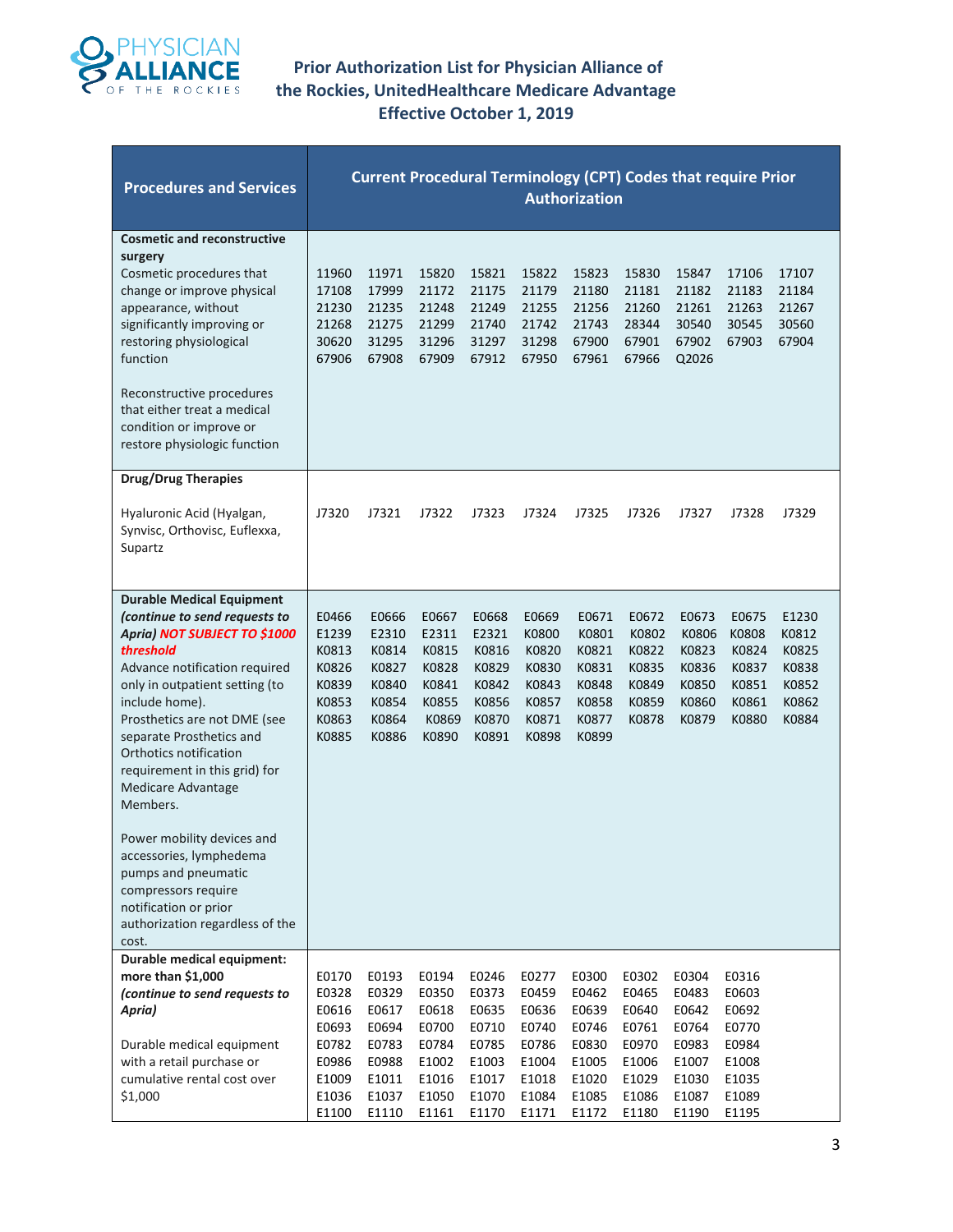

| <b>Procedures and Services</b>                                                                                                                                                                                                                                                                                                                                                                                                                                                                                                  | <b>Current Procedural Terminology (CPT) Codes that require Prior</b><br><b>Authorization</b> |                                                                               |                                                                               |                                                                               |                                                                               |                                                                               |                                                                               |                                                                               |                                                                               |                                                             |  |  |
|---------------------------------------------------------------------------------------------------------------------------------------------------------------------------------------------------------------------------------------------------------------------------------------------------------------------------------------------------------------------------------------------------------------------------------------------------------------------------------------------------------------------------------|----------------------------------------------------------------------------------------------|-------------------------------------------------------------------------------|-------------------------------------------------------------------------------|-------------------------------------------------------------------------------|-------------------------------------------------------------------------------|-------------------------------------------------------------------------------|-------------------------------------------------------------------------------|-------------------------------------------------------------------------------|-------------------------------------------------------------------------------|-------------------------------------------------------------|--|--|
| <b>Cosmetic and reconstructive</b><br>surgery<br>Cosmetic procedures that<br>change or improve physical<br>appearance, without<br>significantly improving or<br>restoring physiological<br>function<br>Reconstructive procedures<br>that either treat a medical<br>condition or improve or<br>restore physiologic function                                                                                                                                                                                                      | 11960<br>17108<br>21230<br>21268<br>30620<br>67906                                           | 11971<br>17999<br>21235<br>21275<br>31295<br>67908                            | 15820<br>21172<br>21248<br>21299<br>31296<br>67909                            | 15821<br>21175<br>21249<br>21740<br>31297<br>67912                            | 15822<br>21179<br>21255<br>21742<br>31298<br>67950                            | 15823<br>21180<br>21256<br>21743<br>67900<br>67961                            | 15830<br>21181<br>21260<br>28344<br>67901<br>67966                            | 15847<br>21182<br>21261<br>30540<br>67902<br>Q2026                            | 17106<br>21183<br>21263<br>30545<br>67903                                     | 17107<br>21184<br>21267<br>30560<br>67904                   |  |  |
| <b>Drug/Drug Therapies</b><br>Hyaluronic Acid (Hyalgan,<br>Synvisc, Orthovisc, Euflexxa,<br>Supartz                                                                                                                                                                                                                                                                                                                                                                                                                             | J7320                                                                                        | J7321                                                                         | J7322                                                                         | J7323                                                                         | J7324                                                                         | J7325                                                                         | J7326                                                                         | J7327                                                                         | J7328                                                                         | J7329                                                       |  |  |
| <b>Durable Medical Equipment</b><br>(continue to send requests to<br>Apria) NOT SUBJECT TO \$1000<br>threshold<br>Advance notification required<br>only in outpatient setting (to<br>include home).<br>Prosthetics are not DME (see<br>separate Prosthetics and<br>Orthotics notification<br>requirement in this grid) for<br>Medicare Advantage<br>Members.<br>Power mobility devices and<br>accessories, lymphedema<br>pumps and pneumatic<br>compressors require<br>notification or prior<br>authorization regardless of the | E0466<br>E1239<br>K0813<br>K0826<br>K0839<br>K0853<br>K0863<br>K0885                         | E0666<br>E2310<br>K0814<br>K0827<br>K0840<br>K0854<br>K0864<br>K0886          | E0667<br>E2311<br>K0815<br>K0828<br>K0841<br>K0855<br>K0869<br>K0890          | E0668<br>E2321<br>K0816<br>K0829<br>K0842<br>K0856<br>K0870<br>K0891          | E0669<br>K0800<br>K0820<br>K0830<br>K0843<br>K0857<br>K0871<br>K0898          | E0671<br>K0801<br>K0821<br>K0831<br>K0848<br>K0858<br>K0877<br>K0899          | E0672<br>K0802<br>K0822<br>K0835<br>K0849<br>K0859<br>K0878                   | E0673<br>K0806<br>K0823<br>K0836<br>K0850<br>K0860<br>K0879                   | E0675<br>K0808<br>K0824<br>K0837<br>K0851<br>K0861<br>K0880                   | E1230<br>K0812<br>K0825<br>K0838<br>K0852<br>K0862<br>K0884 |  |  |
| cost.<br>Durable medical equipment:<br>more than \$1,000<br>(continue to send requests to<br>Apria)<br>Durable medical equipment<br>with a retail purchase or<br>cumulative rental cost over<br>\$1,000                                                                                                                                                                                                                                                                                                                         | E0170<br>E0328<br>E0616<br>E0693<br>E0782<br>E0986<br>E1009<br>E1036<br>E1100                | E0193<br>E0329<br>E0617<br>E0694<br>E0783<br>E0988<br>E1011<br>E1037<br>E1110 | E0194<br>E0350<br>E0618<br>E0700<br>E0784<br>E1002<br>E1016<br>E1050<br>E1161 | E0246<br>E0373<br>E0635<br>E0710<br>E0785<br>E1003<br>E1017<br>E1070<br>E1170 | E0277<br>E0459<br>E0636<br>E0740<br>E0786<br>E1004<br>E1018<br>E1084<br>E1171 | E0300<br>E0462<br>E0639<br>E0746<br>E0830<br>E1005<br>E1020<br>E1085<br>E1172 | E0302<br>E0465<br>E0640<br>E0761<br>E0970<br>E1006<br>E1029<br>E1086<br>E1180 | E0304<br>E0483<br>E0642<br>E0764<br>E0983<br>E1007<br>E1030<br>E1087<br>E1190 | E0316<br>E0603<br>E0692<br>E0770<br>E0984<br>E1008<br>E1035<br>E1089<br>E1195 |                                                             |  |  |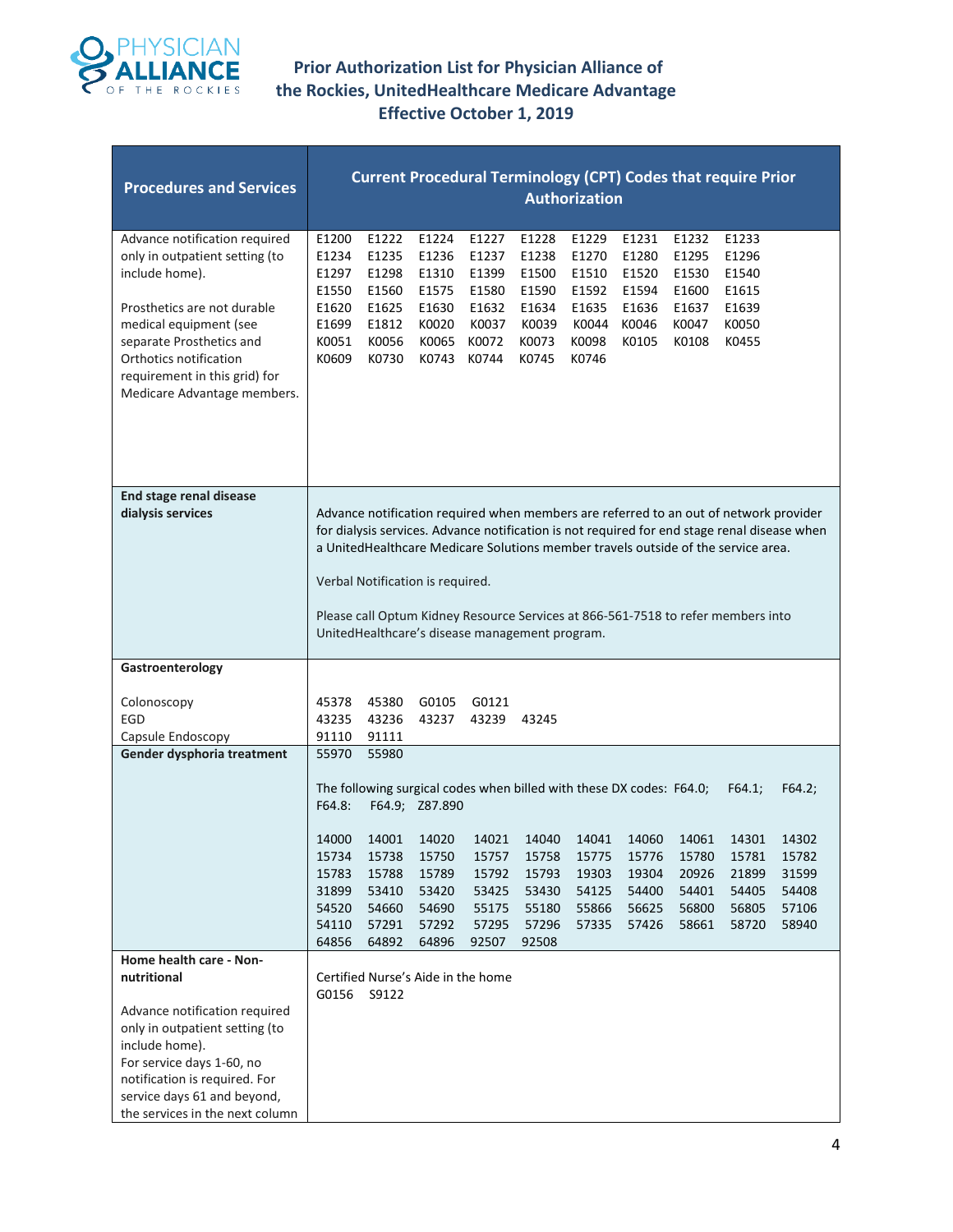

| <b>Procedures and Services</b>                                                                                                                                                                                                                                   | <b>Current Procedural Terminology (CPT) Codes that require Prior</b><br><b>Authorization</b> |                                                                      |                                                                               |                                                                                                                                     |                                                                      |                                                                      |                                                             |                                                             |                                                                                                                                                                                                                                                                                                                                                                |                                                              |  |  |
|------------------------------------------------------------------------------------------------------------------------------------------------------------------------------------------------------------------------------------------------------------------|----------------------------------------------------------------------------------------------|----------------------------------------------------------------------|-------------------------------------------------------------------------------|-------------------------------------------------------------------------------------------------------------------------------------|----------------------------------------------------------------------|----------------------------------------------------------------------|-------------------------------------------------------------|-------------------------------------------------------------|----------------------------------------------------------------------------------------------------------------------------------------------------------------------------------------------------------------------------------------------------------------------------------------------------------------------------------------------------------------|--------------------------------------------------------------|--|--|
| Advance notification required<br>only in outpatient setting (to<br>include home).<br>Prosthetics are not durable<br>medical equipment (see<br>separate Prosthetics and<br>Orthotics notification<br>requirement in this grid) for<br>Medicare Advantage members. | E1200<br>E1234<br>E1297<br>E1550<br>E1620<br>E1699<br>K0051<br>K0609                         | E1222<br>E1235<br>E1298<br>E1560<br>E1625<br>E1812<br>K0056<br>K0730 | E1224<br>E1236<br>E1310<br>E1575<br>E1630<br>K0020<br>K0065<br>K0743          | E1227<br>E1237<br>E1399<br>E1580<br>E1632<br>K0037<br>K0072<br>K0744                                                                | E1228<br>E1238<br>E1500<br>E1590<br>E1634<br>K0039<br>K0073<br>K0745 | E1229<br>E1270<br>E1510<br>E1592<br>E1635<br>K0044<br>K0098<br>K0746 | E1231<br>E1280<br>E1520<br>E1594<br>E1636<br>K0046<br>K0105 | E1232<br>E1295<br>E1530<br>E1600<br>E1637<br>K0047<br>K0108 | E1233<br>E1296<br>E1540<br>E1615<br>E1639<br>K0050<br>K0455                                                                                                                                                                                                                                                                                                    |                                                              |  |  |
| End stage renal disease<br>dialysis services                                                                                                                                                                                                                     |                                                                                              |                                                                      | Verbal Notification is required.                                              | UnitedHealthcare's disease management program.                                                                                      |                                                                      |                                                                      |                                                             |                                                             | Advance notification required when members are referred to an out of network provider<br>for dialysis services. Advance notification is not required for end stage renal disease when<br>a UnitedHealthcare Medicare Solutions member travels outside of the service area.<br>Please call Optum Kidney Resource Services at 866-561-7518 to refer members into |                                                              |  |  |
| Gastroenterology                                                                                                                                                                                                                                                 |                                                                                              |                                                                      |                                                                               |                                                                                                                                     |                                                                      |                                                                      |                                                             |                                                             |                                                                                                                                                                                                                                                                                                                                                                |                                                              |  |  |
| Colonoscopy<br>EGD<br>Capsule Endoscopy                                                                                                                                                                                                                          | 45378<br>43235<br>91110                                                                      | 45380<br>43236<br>91111                                              | G0105<br>43237                                                                | G0121<br>43239                                                                                                                      | 43245                                                                |                                                                      |                                                             |                                                             |                                                                                                                                                                                                                                                                                                                                                                |                                                              |  |  |
| Gender dysphoria treatment                                                                                                                                                                                                                                       | 55970<br>F64.8:<br>14000<br>15734<br>15783<br>31899<br>54520<br>54110<br>64856               | 55980<br>14001<br>15738<br>15788<br>53410<br>54660<br>57291<br>64892 | F64.9; Z87.890<br>14020<br>15750<br>15789<br>53420<br>54690<br>57292<br>64896 | The following surgical codes when billed with these DX codes: F64.0;<br>14021<br>15757<br>15792<br>53425<br>55175<br>57295<br>92507 | 14040<br>15758<br>15793<br>53430<br>55180<br>57296<br>92508          | 14041<br>15775<br>19303<br>54125<br>55866<br>57335                   | 14060<br>15776<br>19304<br>54400<br>56625<br>57426          | 14061<br>15780<br>20926<br>54401<br>56800<br>58661          | F64.1;<br>14301<br>15781<br>21899<br>54405<br>56805<br>58720                                                                                                                                                                                                                                                                                                   | F64.2;<br>14302<br>15782<br>31599<br>54408<br>57106<br>58940 |  |  |
| Home health care - Non-<br>nutritional<br>Advance notification required<br>only in outpatient setting (to<br>include home).<br>For service days 1-60, no<br>notification is required. For<br>service days 61 and beyond,<br>the services in the next column      | G0156                                                                                        | S9122                                                                | Certified Nurse's Aide in the home                                            |                                                                                                                                     |                                                                      |                                                                      |                                                             |                                                             |                                                                                                                                                                                                                                                                                                                                                                |                                                              |  |  |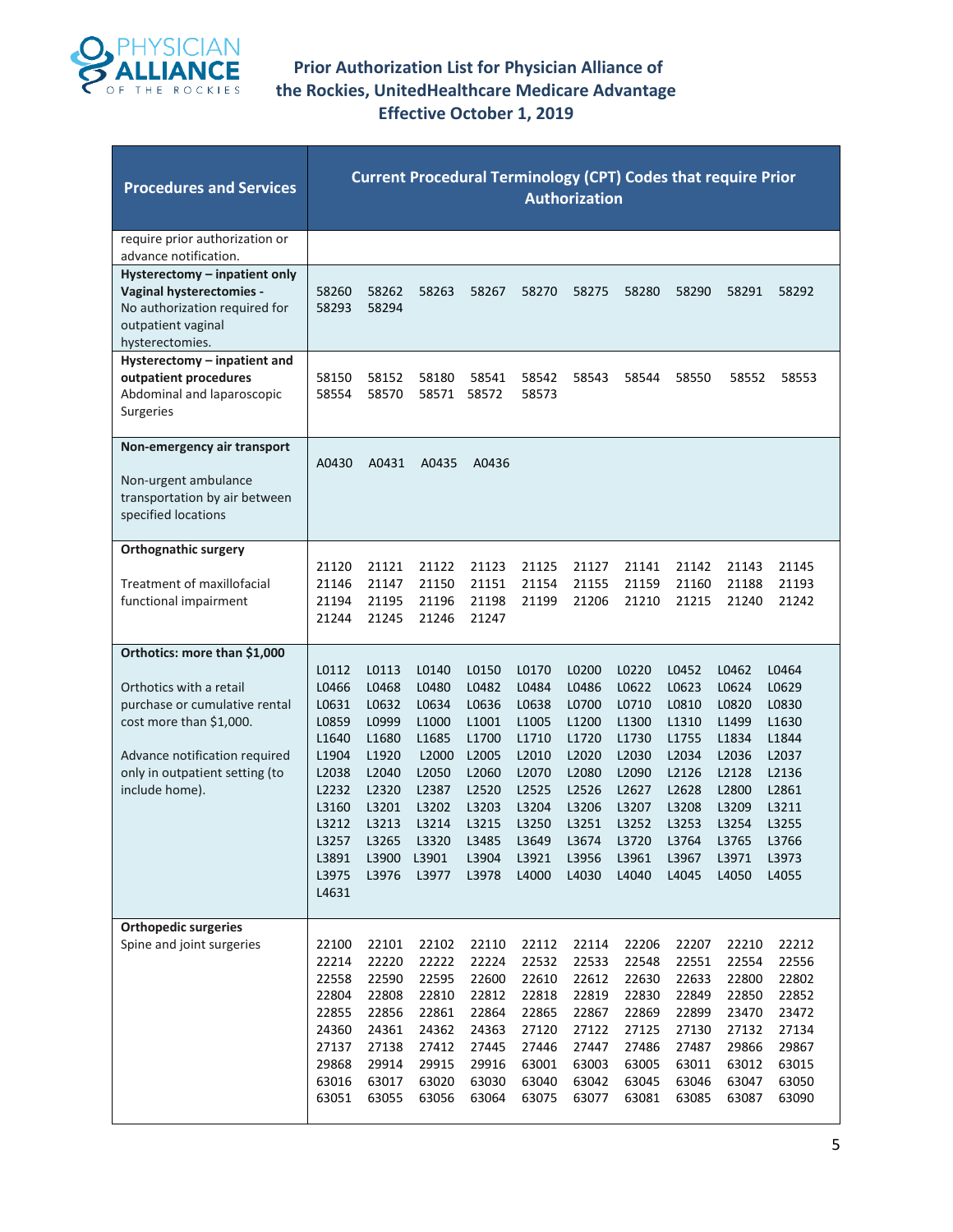

| <b>Procedures and Services</b>                                                                                                                                                                           | <b>Current Procedural Terminology (CPT) Codes that require Prior</b><br><b>Authorization</b>                               |                                                                                                                   |                                                                                                                               |                                                                                                                   |                                                                                                                   |                                                                                                                   |                                                                                                                   |                                                                                                                   |                                                                                                                   |                                                                                                                   |  |  |
|----------------------------------------------------------------------------------------------------------------------------------------------------------------------------------------------------------|----------------------------------------------------------------------------------------------------------------------------|-------------------------------------------------------------------------------------------------------------------|-------------------------------------------------------------------------------------------------------------------------------|-------------------------------------------------------------------------------------------------------------------|-------------------------------------------------------------------------------------------------------------------|-------------------------------------------------------------------------------------------------------------------|-------------------------------------------------------------------------------------------------------------------|-------------------------------------------------------------------------------------------------------------------|-------------------------------------------------------------------------------------------------------------------|-------------------------------------------------------------------------------------------------------------------|--|--|
| require prior authorization or<br>advance notification.                                                                                                                                                  |                                                                                                                            |                                                                                                                   |                                                                                                                               |                                                                                                                   |                                                                                                                   |                                                                                                                   |                                                                                                                   |                                                                                                                   |                                                                                                                   |                                                                                                                   |  |  |
| Hysterectomy – inpatient only<br>Vaginal hysterectomies -<br>No authorization required for<br>outpatient vaginal<br>hysterectomies.                                                                      | 58260<br>58293                                                                                                             | 58262<br>58294                                                                                                    | 58263                                                                                                                         | 58267                                                                                                             | 58270                                                                                                             | 58275                                                                                                             | 58280                                                                                                             | 58290                                                                                                             | 58291                                                                                                             | 58292                                                                                                             |  |  |
| Hysterectomy - inpatient and<br>outpatient procedures<br>Abdominal and laparoscopic<br>Surgeries                                                                                                         | 58150<br>58554                                                                                                             | 58152<br>58570                                                                                                    | 58180<br>58571                                                                                                                | 58541<br>58572                                                                                                    | 58542<br>58573                                                                                                    | 58543                                                                                                             | 58544                                                                                                             | 58550                                                                                                             | 58552                                                                                                             | 58553                                                                                                             |  |  |
| Non-emergency air transport<br>Non-urgent ambulance<br>transportation by air between<br>specified locations                                                                                              | A0430                                                                                                                      | A0431                                                                                                             | A0435                                                                                                                         | A0436                                                                                                             |                                                                                                                   |                                                                                                                   |                                                                                                                   |                                                                                                                   |                                                                                                                   |                                                                                                                   |  |  |
| <b>Orthognathic surgery</b><br>Treatment of maxillofacial<br>functional impairment                                                                                                                       | 21120<br>21146<br>21194<br>21244                                                                                           | 21121<br>21147<br>21195<br>21245                                                                                  | 21122<br>21150<br>21196<br>21246                                                                                              | 21123<br>21151<br>21198<br>21247                                                                                  | 21125<br>21154<br>21199                                                                                           | 21127<br>21155<br>21206                                                                                           | 21141<br>21159<br>21210                                                                                           | 21142<br>21160<br>21215                                                                                           | 21143<br>21188<br>21240                                                                                           | 21145<br>21193<br>21242                                                                                           |  |  |
| Orthotics: more than \$1,000<br>Orthotics with a retail<br>purchase or cumulative rental<br>cost more than \$1,000.<br>Advance notification required<br>only in outpatient setting (to<br>include home). | L0112<br>L0466<br>L0631<br>L0859<br>L1640<br>L1904<br>L2038<br>L2232<br>L3160<br>L3212<br>L3257<br>L3891<br>L3975<br>L4631 | L0113<br>L0468<br>L0632<br>L0999<br>L1680<br>L1920<br>L2040<br>L2320<br>L3201<br>L3213<br>L3265<br>L3900<br>L3976 | L0140<br>L0480<br>L0634<br>L <sub>1000</sub><br>L1685<br>L2000<br>L2050<br>L2387<br>L3202<br>L3214<br>L3320<br>L3901<br>L3977 | L0150<br>L0482<br>L0636<br>L1001<br>L1700<br>L2005<br>L2060<br>L2520<br>L3203<br>L3215<br>L3485<br>L3904<br>L3978 | L0170<br>L0484<br>L0638<br>L1005<br>L1710<br>L2010<br>L2070<br>L2525<br>L3204<br>L3250<br>L3649<br>L3921<br>L4000 | L0200<br>L0486<br>L0700<br>L1200<br>L1720<br>L2020<br>L2080<br>L2526<br>L3206<br>L3251<br>L3674<br>L3956<br>L4030 | L0220<br>L0622<br>L0710<br>L1300<br>L1730<br>L2030<br>L2090<br>L2627<br>L3207<br>L3252<br>L3720<br>L3961<br>L4040 | L0452<br>L0623<br>L0810<br>L1310<br>L1755<br>L2034<br>L2126<br>L2628<br>L3208<br>L3253<br>L3764<br>L3967<br>L4045 | L0462<br>L0624<br>L0820<br>L1499<br>L1834<br>L2036<br>L2128<br>L2800<br>L3209<br>L3254<br>L3765<br>L3971<br>L4050 | L0464<br>L0629<br>L0830<br>L1630<br>L1844<br>L2037<br>L2136<br>L2861<br>L3211<br>L3255<br>L3766<br>L3973<br>L4055 |  |  |
| <b>Orthopedic surgeries</b><br>Spine and joint surgeries                                                                                                                                                 | 22100<br>22214<br>22558<br>22804<br>22855<br>24360<br>27137<br>29868<br>63016<br>63051                                     | 22101<br>22220<br>22590<br>22808<br>22856<br>24361<br>27138<br>29914<br>63017<br>63055                            | 22102<br>22222<br>22595<br>22810<br>22861<br>24362<br>27412<br>29915<br>63020<br>63056                                        | 22110<br>22224<br>22600<br>22812<br>22864<br>24363<br>27445<br>29916<br>63030<br>63064                            | 22112<br>22532<br>22610<br>22818<br>22865<br>27120<br>27446<br>63001<br>63040<br>63075                            | 22114<br>22533<br>22612<br>22819<br>22867<br>27122<br>27447<br>63003<br>63042<br>63077                            | 22206<br>22548<br>22630<br>22830<br>22869<br>27125<br>27486<br>63005<br>63045<br>63081                            | 22207<br>22551<br>22633<br>22849<br>22899<br>27130<br>27487<br>63011<br>63046<br>63085                            | 22210<br>22554<br>22800<br>22850<br>23470<br>27132<br>29866<br>63012<br>63047<br>63087                            | 22212<br>22556<br>22802<br>22852<br>23472<br>27134<br>29867<br>63015<br>63050<br>63090                            |  |  |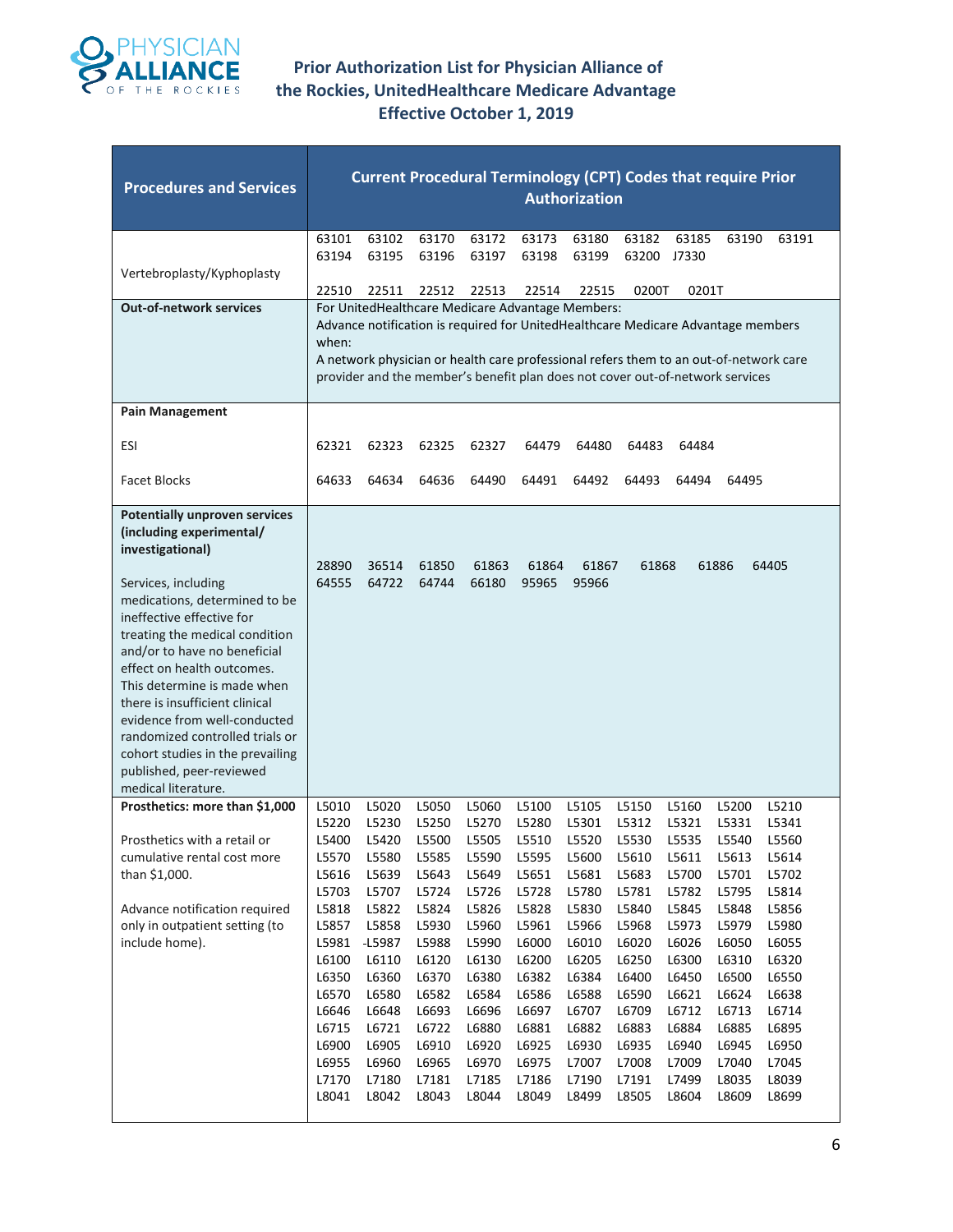

| <b>Procedures and Services</b>                                                                                                                                                                                                                                                                                                                                                                                                                                                                       | <b>Current Procedural Terminology (CPT) Codes that require Prior</b><br><b>Authorization</b>                                                                   |                                                                                                                                                                   |                                                                                                                                                                |                                                                                                                                                                |                                                                                                                                                                                                                                                                                                                |                                                                                                                                                                |                                                                                                                                                                |                                                                                                                                                                |                                                                                                                                                                |                                                                                                                                                                |  |  |
|------------------------------------------------------------------------------------------------------------------------------------------------------------------------------------------------------------------------------------------------------------------------------------------------------------------------------------------------------------------------------------------------------------------------------------------------------------------------------------------------------|----------------------------------------------------------------------------------------------------------------------------------------------------------------|-------------------------------------------------------------------------------------------------------------------------------------------------------------------|----------------------------------------------------------------------------------------------------------------------------------------------------------------|----------------------------------------------------------------------------------------------------------------------------------------------------------------|----------------------------------------------------------------------------------------------------------------------------------------------------------------------------------------------------------------------------------------------------------------------------------------------------------------|----------------------------------------------------------------------------------------------------------------------------------------------------------------|----------------------------------------------------------------------------------------------------------------------------------------------------------------|----------------------------------------------------------------------------------------------------------------------------------------------------------------|----------------------------------------------------------------------------------------------------------------------------------------------------------------|----------------------------------------------------------------------------------------------------------------------------------------------------------------|--|--|
| Vertebroplasty/Kyphoplasty                                                                                                                                                                                                                                                                                                                                                                                                                                                                           | 63101<br>63194<br>22510                                                                                                                                        | 63102<br>63195<br>22511                                                                                                                                           | 63170<br>63196<br>22512                                                                                                                                        | 63172<br>63197<br>22513                                                                                                                                        | 63173<br>63198<br>22514                                                                                                                                                                                                                                                                                        | 63180<br>63199<br>22515                                                                                                                                        | 63182<br>63200<br>0200T                                                                                                                                        | 63185<br>J7330<br>0201T                                                                                                                                        | 63190                                                                                                                                                          | 63191                                                                                                                                                          |  |  |
| <b>Out-of-network services</b>                                                                                                                                                                                                                                                                                                                                                                                                                                                                       | when:                                                                                                                                                          |                                                                                                                                                                   |                                                                                                                                                                |                                                                                                                                                                | For UnitedHealthcare Medicare Advantage Members:<br>Advance notification is required for UnitedHealthcare Medicare Advantage members<br>A network physician or health care professional refers them to an out-of-network care<br>provider and the member's benefit plan does not cover out-of-network services |                                                                                                                                                                |                                                                                                                                                                |                                                                                                                                                                |                                                                                                                                                                |                                                                                                                                                                |  |  |
| <b>Pain Management</b>                                                                                                                                                                                                                                                                                                                                                                                                                                                                               |                                                                                                                                                                |                                                                                                                                                                   |                                                                                                                                                                |                                                                                                                                                                |                                                                                                                                                                                                                                                                                                                |                                                                                                                                                                |                                                                                                                                                                |                                                                                                                                                                |                                                                                                                                                                |                                                                                                                                                                |  |  |
| ESI                                                                                                                                                                                                                                                                                                                                                                                                                                                                                                  | 62321                                                                                                                                                          | 62323                                                                                                                                                             | 62325                                                                                                                                                          | 62327                                                                                                                                                          | 64479                                                                                                                                                                                                                                                                                                          | 64480                                                                                                                                                          | 64483                                                                                                                                                          | 64484                                                                                                                                                          |                                                                                                                                                                |                                                                                                                                                                |  |  |
| <b>Facet Blocks</b>                                                                                                                                                                                                                                                                                                                                                                                                                                                                                  | 64633                                                                                                                                                          | 64634                                                                                                                                                             | 64636                                                                                                                                                          | 64490                                                                                                                                                          | 64491                                                                                                                                                                                                                                                                                                          | 64492                                                                                                                                                          | 64493                                                                                                                                                          | 64494                                                                                                                                                          | 64495                                                                                                                                                          |                                                                                                                                                                |  |  |
| <b>Potentially unproven services</b><br>(including experimental/<br>investigational)<br>Services, including<br>medications, determined to be<br>ineffective effective for<br>treating the medical condition<br>and/or to have no beneficial<br>effect on health outcomes.<br>This determine is made when<br>there is insufficient clinical<br>evidence from well-conducted<br>randomized controlled trials or<br>cohort studies in the prevailing<br>published, peer-reviewed<br>medical literature. | 28890<br>64555                                                                                                                                                 | 36514<br>64722                                                                                                                                                    | 61850<br>64744                                                                                                                                                 | 61863<br>66180                                                                                                                                                 | 61864<br>95965                                                                                                                                                                                                                                                                                                 | 61867<br>95966                                                                                                                                                 | 61868                                                                                                                                                          |                                                                                                                                                                | 61886                                                                                                                                                          | 64405                                                                                                                                                          |  |  |
| Prosthetics: more than \$1,000<br>Prosthetics with a retail or<br>cumulative rental cost more<br>than \$1,000.<br>Advance notification required<br>only in outpatient setting (to<br>include home).                                                                                                                                                                                                                                                                                                  | L5010<br>L5220<br>L5400<br>L5570<br>L5616<br>L5703<br>L5818<br>L5857<br>L5981<br>L6100<br>L6350<br>L6570<br>L6646<br>L6715<br>L6900<br>L6955<br>L7170<br>L8041 | L5020<br>L5230<br>L5420<br>L5580<br>L5639<br>L5707<br>L5822<br>L5858<br>$-L5987$<br>L6110<br>L6360<br>L6580<br>L6648<br>L6721<br>L6905<br>L6960<br>L7180<br>L8042 | L5050<br>L5250<br>L5500<br>L5585<br>L5643<br>L5724<br>L5824<br>L5930<br>L5988<br>L6120<br>L6370<br>L6582<br>L6693<br>L6722<br>L6910<br>L6965<br>L7181<br>L8043 | L5060<br>L5270<br>L5505<br>L5590<br>L5649<br>L5726<br>L5826<br>L5960<br>L5990<br>L6130<br>L6380<br>L6584<br>L6696<br>L6880<br>L6920<br>L6970<br>L7185<br>L8044 | L5100<br>L5280<br>L5510<br>L5595<br>L5651<br>L5728<br>L5828<br>L5961<br>L6000<br>L6200<br>L6382<br>L6586<br>L6697<br>L6881<br>L6925<br>L6975<br>L7186<br>L8049                                                                                                                                                 | L5105<br>L5301<br>L5520<br>L5600<br>L5681<br>L5780<br>L5830<br>L5966<br>L6010<br>L6205<br>L6384<br>L6588<br>L6707<br>L6882<br>L6930<br>L7007<br>L7190<br>L8499 | L5150<br>L5312<br>L5530<br>L5610<br>L5683<br>L5781<br>L5840<br>L5968<br>L6020<br>L6250<br>L6400<br>L6590<br>L6709<br>L6883<br>L6935<br>L7008<br>L7191<br>L8505 | L5160<br>L5321<br>L5535<br>L5611<br>L5700<br>L5782<br>L5845<br>L5973<br>L6026<br>L6300<br>L6450<br>L6621<br>L6712<br>L6884<br>L6940<br>L7009<br>L7499<br>L8604 | L5200<br>L5331<br>L5540<br>L5613<br>L5701<br>L5795<br>L5848<br>L5979<br>L6050<br>L6310<br>L6500<br>L6624<br>L6713<br>L6885<br>L6945<br>L7040<br>L8035<br>L8609 | L5210<br>L5341<br>L5560<br>L5614<br>L5702<br>L5814<br>L5856<br>L5980<br>L6055<br>L6320<br>L6550<br>L6638<br>L6714<br>L6895<br>L6950<br>L7045<br>L8039<br>L8699 |  |  |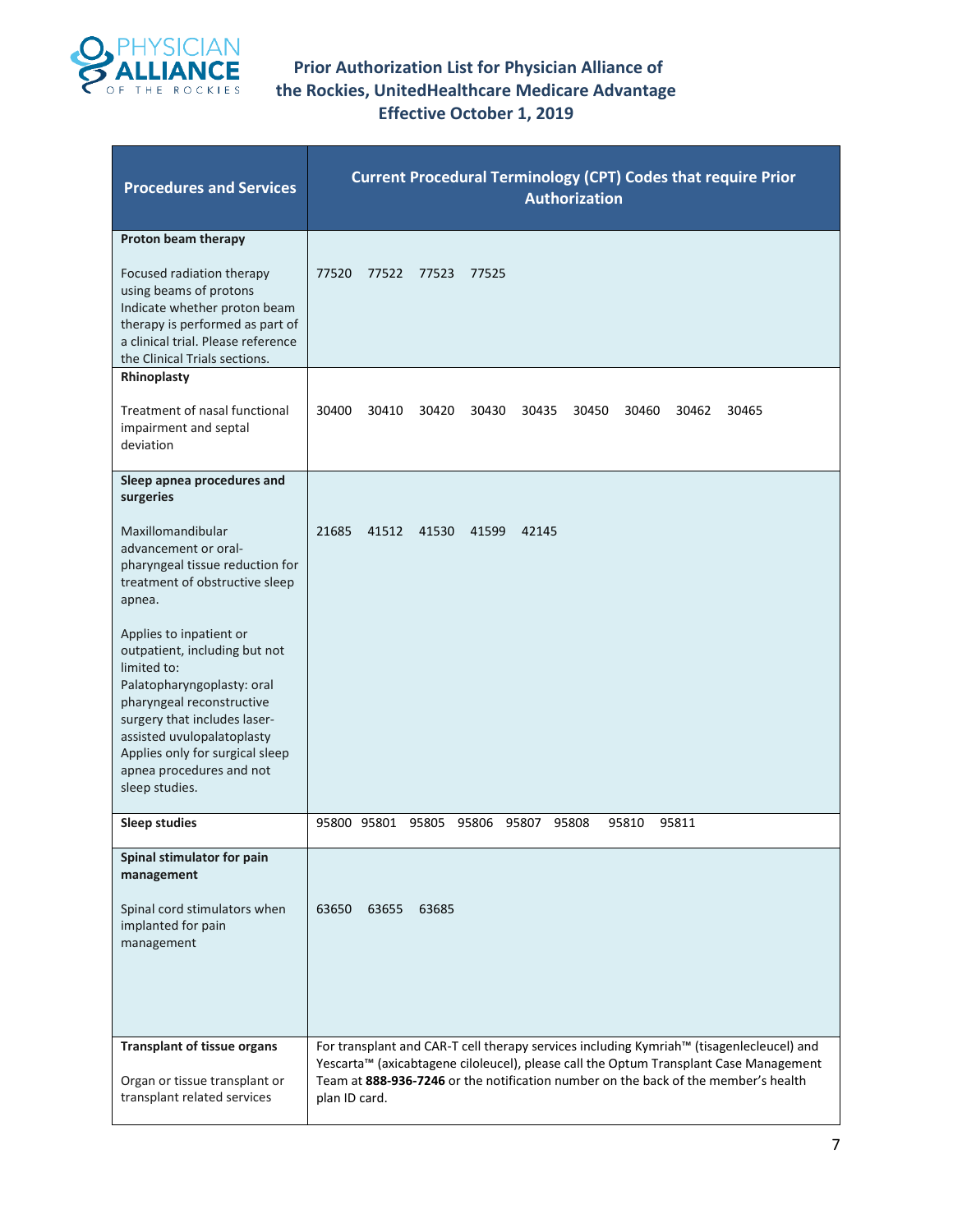

| <b>Procedures and Services</b>                                                                                                                                                                                                                                                    | <b>Current Procedural Terminology (CPT) Codes that require Prior</b><br><b>Authorization</b>                                                                                                                                                                                             |  |  |  |  |  |  |  |  |  |  |
|-----------------------------------------------------------------------------------------------------------------------------------------------------------------------------------------------------------------------------------------------------------------------------------|------------------------------------------------------------------------------------------------------------------------------------------------------------------------------------------------------------------------------------------------------------------------------------------|--|--|--|--|--|--|--|--|--|--|
| Proton beam therapy<br>Focused radiation therapy<br>using beams of protons<br>Indicate whether proton beam<br>therapy is performed as part of<br>a clinical trial. Please reference<br>the Clinical Trials sections.                                                              | 77520<br>77522<br>77523<br>77525                                                                                                                                                                                                                                                         |  |  |  |  |  |  |  |  |  |  |
| Rhinoplasty<br>Treatment of nasal functional<br>impairment and septal<br>deviation                                                                                                                                                                                                | 30400<br>30410<br>30430<br>30420<br>30435<br>30450<br>30460<br>30462<br>30465                                                                                                                                                                                                            |  |  |  |  |  |  |  |  |  |  |
| Sleep apnea procedures and<br>surgeries                                                                                                                                                                                                                                           |                                                                                                                                                                                                                                                                                          |  |  |  |  |  |  |  |  |  |  |
| Maxillomandibular<br>advancement or oral-<br>pharyngeal tissue reduction for<br>treatment of obstructive sleep<br>apnea.                                                                                                                                                          | 21685<br>41512<br>41530<br>41599<br>42145                                                                                                                                                                                                                                                |  |  |  |  |  |  |  |  |  |  |
| Applies to inpatient or<br>outpatient, including but not<br>limited to:<br>Palatopharyngoplasty: oral<br>pharyngeal reconstructive<br>surgery that includes laser-<br>assisted uvulopalatoplasty<br>Applies only for surgical sleep<br>apnea procedures and not<br>sleep studies. |                                                                                                                                                                                                                                                                                          |  |  |  |  |  |  |  |  |  |  |
| <b>Sleep studies</b>                                                                                                                                                                                                                                                              | 95800 95801 95805 95806 95807 95808<br>95810<br>95811                                                                                                                                                                                                                                    |  |  |  |  |  |  |  |  |  |  |
| Spinal stimulator for pain<br>management<br>Spinal cord stimulators when<br>implanted for pain<br>management                                                                                                                                                                      | 63650<br>63655<br>63685                                                                                                                                                                                                                                                                  |  |  |  |  |  |  |  |  |  |  |
| <b>Transplant of tissue organs</b><br>Organ or tissue transplant or<br>transplant related services                                                                                                                                                                                | For transplant and CAR-T cell therapy services including Kymriah™ (tisagenlecleucel) and<br>Yescarta™ (axicabtagene ciloleucel), please call the Optum Transplant Case Management<br>Team at 888-936-7246 or the notification number on the back of the member's health<br>plan ID card. |  |  |  |  |  |  |  |  |  |  |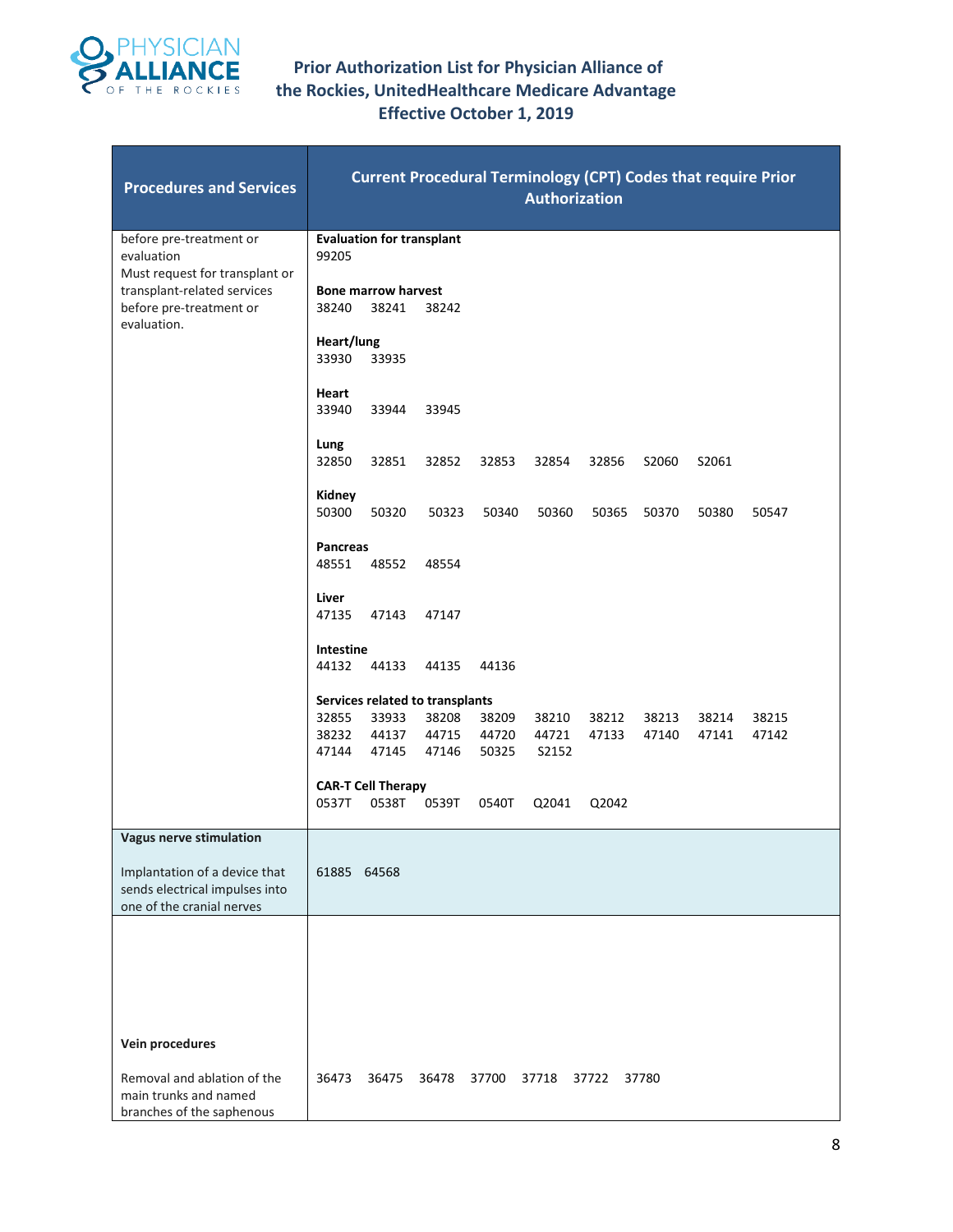

| <b>Procedures and Services</b>                                                                                                 | <b>Current Procedural Terminology (CPT) Codes that require Prior</b><br><b>Authorization</b>                                                                                                                                                   |  |  |  |  |  |  |  |  |  |  |  |  |
|--------------------------------------------------------------------------------------------------------------------------------|------------------------------------------------------------------------------------------------------------------------------------------------------------------------------------------------------------------------------------------------|--|--|--|--|--|--|--|--|--|--|--|--|
| before pre-treatment or<br>evaluation<br>Must request for transplant or                                                        | <b>Evaluation for transplant</b><br>99205                                                                                                                                                                                                      |  |  |  |  |  |  |  |  |  |  |  |  |
| transplant-related services<br>before pre-treatment or<br>evaluation.                                                          | <b>Bone marrow harvest</b><br>38240<br>38241<br>38242                                                                                                                                                                                          |  |  |  |  |  |  |  |  |  |  |  |  |
|                                                                                                                                | Heart/lung<br>33935<br>33930                                                                                                                                                                                                                   |  |  |  |  |  |  |  |  |  |  |  |  |
|                                                                                                                                | Heart<br>33940<br>33944<br>33945                                                                                                                                                                                                               |  |  |  |  |  |  |  |  |  |  |  |  |
|                                                                                                                                | Lung<br>32850<br>32851<br>32852<br>32853<br>32854<br>32856<br>S2060<br>S2061                                                                                                                                                                   |  |  |  |  |  |  |  |  |  |  |  |  |
|                                                                                                                                | Kidney<br>50300<br>50320<br>50323<br>50340<br>50360<br>50365<br>50370<br>50380<br>50547                                                                                                                                                        |  |  |  |  |  |  |  |  |  |  |  |  |
|                                                                                                                                | Pancreas<br>48551<br>48552<br>48554                                                                                                                                                                                                            |  |  |  |  |  |  |  |  |  |  |  |  |
|                                                                                                                                | Liver<br>47135<br>47143<br>47147                                                                                                                                                                                                               |  |  |  |  |  |  |  |  |  |  |  |  |
|                                                                                                                                | Intestine<br>44132<br>44133<br>44135<br>44136                                                                                                                                                                                                  |  |  |  |  |  |  |  |  |  |  |  |  |
|                                                                                                                                | Services related to transplants<br>32855<br>33933<br>38208<br>38209<br>38212<br>38213<br>38215<br>38210<br>38214<br>38232<br>44137<br>44715<br>44720<br>44721<br>47133<br>47142<br>47140<br>47141<br>47144<br>47145<br>47146<br>50325<br>S2152 |  |  |  |  |  |  |  |  |  |  |  |  |
|                                                                                                                                | <b>CAR-T Cell Therapy</b><br>0537T<br>0538T<br>0539T<br>0540T<br>Q2041<br>Q2042                                                                                                                                                                |  |  |  |  |  |  |  |  |  |  |  |  |
| <b>Vagus nerve stimulation</b><br>Implantation of a device that<br>sends electrical impulses into<br>one of the cranial nerves | 61885 64568                                                                                                                                                                                                                                    |  |  |  |  |  |  |  |  |  |  |  |  |
|                                                                                                                                |                                                                                                                                                                                                                                                |  |  |  |  |  |  |  |  |  |  |  |  |
| Vein procedures                                                                                                                |                                                                                                                                                                                                                                                |  |  |  |  |  |  |  |  |  |  |  |  |
| Removal and ablation of the<br>main trunks and named<br>branches of the saphenous                                              | 36473<br>36475<br>36478<br>37700<br>37718<br>37722<br>37780                                                                                                                                                                                    |  |  |  |  |  |  |  |  |  |  |  |  |